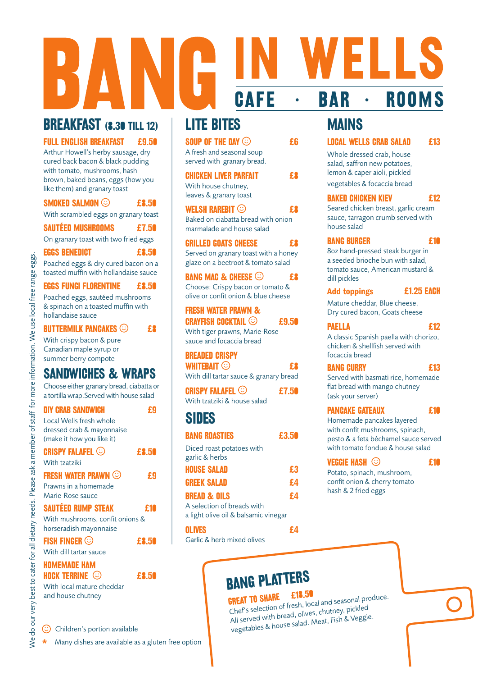## BREAKFAST (8.30 TILL 12)

FULL ENGLISH BREAKFAST £9.50

Arthur Howell's herby sausage, dry cured back bacon & black pudding with tomato, mushrooms, hash brown, baked beans, eggs (how you like them) and granary toast

| <b>SMOKED SALMON ©</b>                                                                     | e fi  |
|--------------------------------------------------------------------------------------------|-------|
| With scrambled eggs on granary toast                                                       |       |
| <b>SAUTÉED MUSHROOMS</b>                                                                   | £7.50 |
| On granary toast with two fried eggs                                                       |       |
| <b>EGGS BENEDICT</b>                                                                       | £8.50 |
| Poached eggs & dry cured bacon on a<br>toasted muffin with hollandaise sauce               |       |
| <b>EGGS FUNGI FLORENTINE</b>                                                               | £8.50 |
| Poached eggs, sautéed mushrooms<br>& spinach on a toasted muffin with<br>hollandaise sauce |       |
| BUTTERMILK PANCAKES $\odot$                                                                |       |

With crispy bacon & pure Canadian maple syrup or summer berry compote

### SANDWICHES & WRAPS

Choose either granary bread, ciabatta or a tortilla wrap.Served with house salad

| <b>DIY CRAB SANDWICH</b>                                  |       |
|-----------------------------------------------------------|-------|
| Local Wells fresh whole<br>dressed crab & mayonnaise      |       |
| (make it how you like it)                                 |       |
| <b>CRISPY FALAFEL ©</b>                                   | £8.50 |
| With tzatziki                                             |       |
| <b>FRESH WATER PRAWN (C)</b>                              | £9    |
| Prawns in a homemade                                      |       |
| Marie-Rose sauce                                          |       |
| <b>SAUTÉED RUMP STEAK</b>                                 |       |
|                                                           | £Ί    |
| With mushrooms, confit onions &<br>horseradish mayonnaise |       |
| <b>FISH FINGER <math>\odot</math></b>                     | £8.51 |
| With dill tartar sauce                                    |       |
| <b>HOMEMADE HAM</b>                                       |       |
| <b>HOCK TERRINE ©</b>                                     | £8.50 |
| With local mature cheddar                                 |       |

 $\circled{c}$  Children's portion available

\* Many dishes are available as a gluten free option

## LITE BITES

| SOUP OF THE DAY $\odot$<br>A fresh and seasonal soup<br>served with granary bread.        |  |
|-------------------------------------------------------------------------------------------|--|
| <b>CHICKEN LIVER PARFAIT</b><br>With house chutney,<br>leaves & granary toast             |  |
| <b>WELSH RAREBIT ©</b><br>Baked on ciabatta bread with onion<br>marmalade and house salad |  |
| <b>GRILLED GOATS CHEESE</b>                                                               |  |

**CAFE** 

Served on granary toast with a honey glaze on a beetroot & tomato salad

#### BANG MAC & CHEESE  $\odot$  ex-Choose: Crispy bacon or tomato & olive or confit onion & blue cheese

Fresh Water Prawn & **CRAYFISH COCKTAIL**  $\odot$  **£9.50** With tiger prawns, Marie-Rose sauce and focaccia bread

#### Breaded Crispy

| WHITEBAIT $\odot$                      |  |
|----------------------------------------|--|
| With dill tartar sauce & granary bread |  |

| <b>CRISPY FALAFEL ©</b>     | £7.50 |
|-----------------------------|-------|
| With tzatziki & house salad |       |

## SIDES

| <b>BANG ROASTIES</b>                                               | £3.50 |
|--------------------------------------------------------------------|-------|
| Diced roast potatoes with<br>garlic & herbs                        |       |
| <b>HOUSE SALAD</b>                                                 | £3    |
| <b>GREEK SALAD</b>                                                 | £4    |
| <b>BREAD &amp; OILS</b>                                            | £4    |
| A selection of breads with<br>a light olive oil & balsamic vinegar |       |
| <b>OLIVES</b>                                                      |       |

Garlic & herb mixed olives

## MAINS

**BAR** 

 $\bullet$ 

LOCAL WELLS CRAB SALAD £13

5 I I

**ROOMS** 

Whole dressed crab, house salad, saffron new potatoes, lemon & caper aioli, pickled vegetables & focaccia bread

 $\bullet$ 

#### Baked Chicken Kiev £12

Seared chicken breast, garlic cream sauce, tarragon crumb served with house salad

#### **BANG BURGER E10**

8oz hand-pressed steak burger in a seeded brioche bun with salad, tomato sauce, American mustard & dill pickles

#### Add toppings **E1.25 EACH**

Mature cheddar, Blue cheese, Dry cured bacon, Goats cheese

Paella £12 A classic Spanish paella with chorizo, chicken & shellfish served with focaccia bread

#### **BANG CURRY 613**

Served with basmati rice, homemade flat bread with mango chutney (ask your server)

#### **PANCAKE GATEAUX E10**

Homemade pancakes layered with confit mushrooms, spinach, pesto & a feta béchamel sauce served with tomato fondue & house salad

#### Veggie Hash £10

Potato, spinach, mushroom, confit onion & cherry tomato hash & 2 fried eggs

# **BANG PLATTERS**

**GREAT TO SHARE £18.50**<br>Chef's selection of fresh, local and seasonal produce. **GREAT TO SHARE LIB.JU**<br>Chef's selection of fresh, local and seasonal pro<br>All served with bread, olives, chutney, pickled vegetables & house salad. Meat, Fish & Veggie.